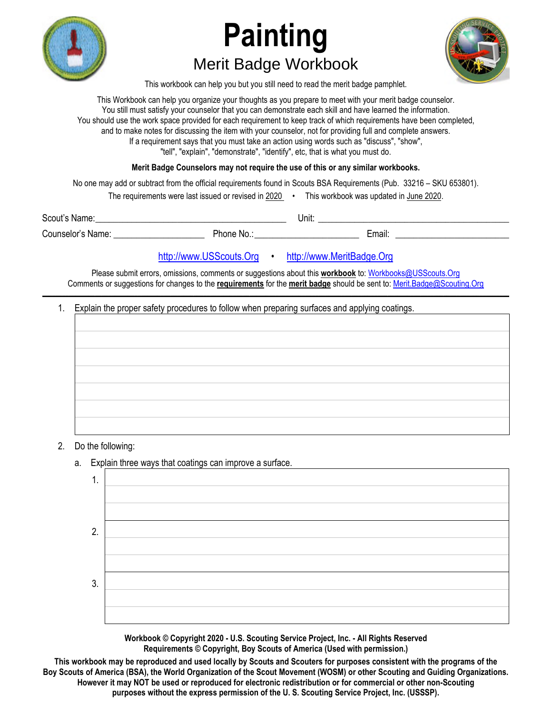

## **Painting**  Merit Badge Workbook



This workbook can help you but you still need to read the merit badge pamphlet.

This Workbook can help you organize your thoughts as you prepare to meet with your merit badge counselor. You still must satisfy your counselor that you can demonstrate each skill and have learned the information. You should use the work space provided for each requirement to keep track of which requirements have been completed, and to make notes for discussing the item with your counselor, not for providing full and complete answers. If a requirement says that you must take an action using words such as "discuss", "show", "tell", "explain", "demonstrate", "identify", etc, that is what you must do.

**Merit Badge Counselors may not require the use of this or any similar workbooks.**

No one may add or subtract from the official requirements found in Scouts BSA Requirements (Pub. 33216 – SKU 653801).

The requirements were last issued or revised in 2020 • This workbook was updated in June 2020.

Scout's Name: \_\_\_\_\_\_\_\_\_\_\_\_\_\_\_\_\_\_\_\_\_\_\_\_\_\_\_\_\_\_\_\_\_\_\_\_\_\_\_\_\_\_ Unit: \_\_\_\_\_\_\_\_\_\_\_\_\_\_\_\_\_\_\_\_\_\_\_\_\_\_\_\_\_\_\_\_\_\_\_\_\_\_\_\_\_\_ Counselor's Name: \_\_\_\_\_\_\_\_\_\_\_\_\_\_\_\_\_\_\_\_ Phone No.: \_\_\_\_\_\_\_\_\_\_\_\_\_\_\_\_\_\_\_\_\_\_\_ Email: \_\_\_\_\_\_\_\_\_\_\_\_\_\_\_\_\_\_\_\_\_\_\_\_\_

http://www.USScouts.Org • http://www.MeritBadge.Org

Please submit errors, omissions, comments or suggestions about this **workbook** to: Workbooks@USScouts.Org Comments or suggestions for changes to the **requirements** for the **merit badge** should be sent to: Merit.Badge@Scouting.Org *\_\_\_\_\_\_\_\_\_\_\_\_\_\_\_\_\_\_\_\_\_\_\_\_\_\_\_\_\_\_\_\_\_\_\_\_\_\_\_\_\_\_\_\_\_\_\_\_\_\_\_\_\_\_\_\_\_\_\_\_\_\_\_\_\_\_\_\_\_\_\_\_\_\_\_\_\_\_\_\_\_\_\_\_\_\_\_\_\_\_\_\_\_\_\_\_\_\_\_\_\_\_\_\_\_\_\_\_\_\_\_\_\_\_\_\_\_\_\_\_\_\_\_\_\_\_\_\_\_\_\_\_\_\_\_\_\_\_\_\_\_\_* 

1. Explain the proper safety procedures to follow when preparing surfaces and applying coatings.



- 2. Do the following:
	- a. Explain three ways that coatings can improve a surface.

**Workbook © Copyright 2020 - U.S. Scouting Service Project, Inc. - All Rights Reserved Requirements © Copyright, Boy Scouts of America (Used with permission.)** 

**This workbook may be reproduced and used locally by Scouts and Scouters for purposes consistent with the programs of the Boy Scouts of America (BSA), the World Organization of the Scout Movement (WOSM) or other Scouting and Guiding Organizations. However it may NOT be used or reproduced for electronic redistribution or for commercial or other non-Scouting purposes without the express permission of the U. S. Scouting Service Project, Inc. (USSSP).**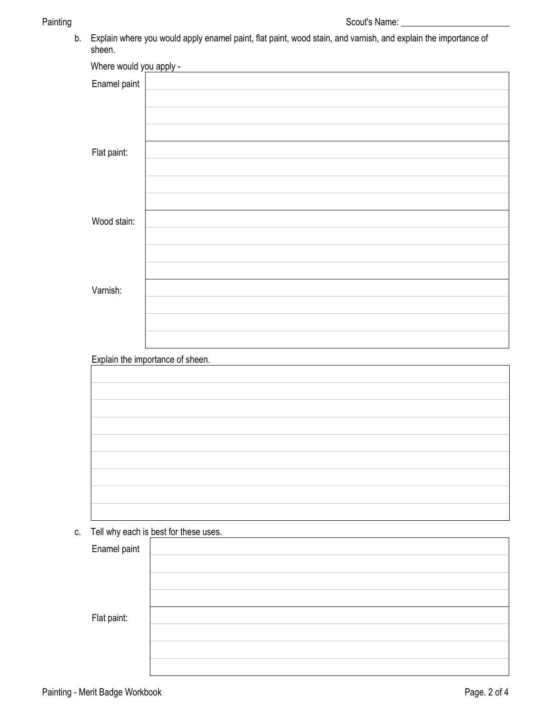b. Explain where you would apply enamel paint, flat paint, wood stain, and varnish, and explain the importance of sheen.

| Where would you apply - |  |
|-------------------------|--|
| Enamel paint            |  |
|                         |  |
| Flat paint:             |  |
|                         |  |
| Wood stain:             |  |
|                         |  |
|                         |  |
| Varnish:                |  |
|                         |  |
|                         |  |

Explain the importance of sheen.

c. Tell why each is best for these uses.

| $\overline{\phantom{a}}$<br>Enamel paint |  |
|------------------------------------------|--|
|                                          |  |
|                                          |  |
|                                          |  |
| Flat paint:                              |  |
|                                          |  |
|                                          |  |
|                                          |  |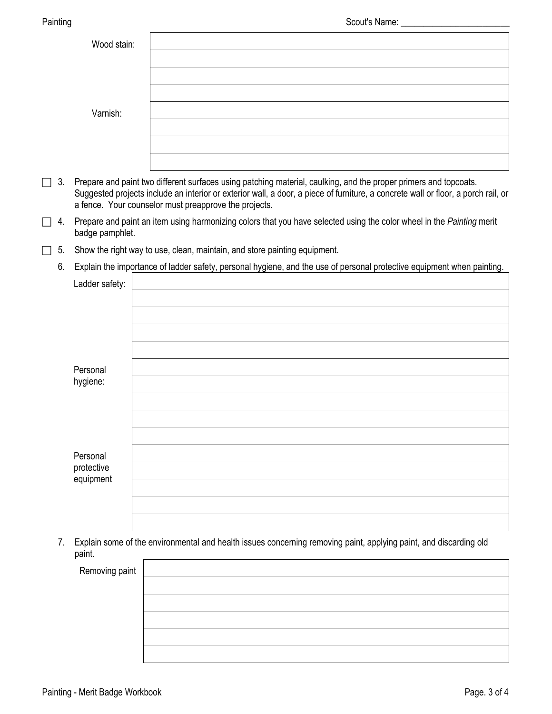| Painting       |                                                                                                                                                                                                                                                                                                                | Scout's Name: _                                                                                                        |  |  |  |
|----------------|----------------------------------------------------------------------------------------------------------------------------------------------------------------------------------------------------------------------------------------------------------------------------------------------------------------|------------------------------------------------------------------------------------------------------------------------|--|--|--|
|                | Wood stain:                                                                                                                                                                                                                                                                                                    |                                                                                                                        |  |  |  |
|                | Varnish:                                                                                                                                                                                                                                                                                                       |                                                                                                                        |  |  |  |
|                |                                                                                                                                                                                                                                                                                                                |                                                                                                                        |  |  |  |
| 3.<br>П        | Prepare and paint two different surfaces using patching material, caulking, and the proper primers and topcoats.<br>Suggested projects include an interior or exterior wall, a door, a piece of furniture, a concrete wall or floor, a porch rail, or<br>a fence. Your counselor must preapprove the projects. |                                                                                                                        |  |  |  |
| 4.<br>$\lceil$ | Prepare and paint an item using harmonizing colors that you have selected using the color wheel in the Painting merit<br>badge pamphlet.                                                                                                                                                                       |                                                                                                                        |  |  |  |
| 5.<br>$\Box$   | Show the right way to use, clean, maintain, and store painting equipment.                                                                                                                                                                                                                                      |                                                                                                                        |  |  |  |
| 6.             |                                                                                                                                                                                                                                                                                                                | Explain the importance of ladder safety, personal hygiene, and the use of personal protective equipment when painting. |  |  |  |
|                | Ladder safety:                                                                                                                                                                                                                                                                                                 |                                                                                                                        |  |  |  |
|                | Personal<br>hygiene:                                                                                                                                                                                                                                                                                           |                                                                                                                        |  |  |  |
|                | Personal<br>protective<br>equipment                                                                                                                                                                                                                                                                            |                                                                                                                        |  |  |  |

 7. Explain some of the environmental and health issues concerning removing paint, applying paint, and discarding old paint.

Removing paint